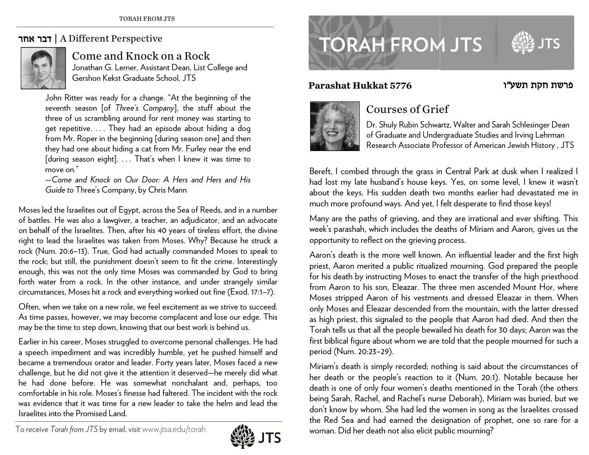### דבר אחר | A Different Perspective



## Come and Knock on a Rock

Jonathan G. Lerner, Assistant Dean, List College and Gershon Kekst Graduate School, JTS

John Ritter was ready for a change. "At the beginning of the seventh season [of *Three's Company*], the stuff about the three of us scrambling around for rent money was starting to get repetitive. . . . They had an episode about hiding a dog from Mr. Roper in the beginning [during season one] and then they had one about hiding a cat from Mr. Furley near the end [during season eight]. . . . That's when I knew it was time to move on. $\overset{..}{.}$ 

—*CCome and Knockk on Our Door: AA Hers and Herss and His Gu uide to* Three's Co ompany, by Chris s Mann

Moses led the Israelites out of Egypt, across the Sea of Reeds, and in a number of battles. He was also a lawgiver, a teacher, an adjudicator, and an advocate on behalf of the Israelites. Then, after his 40 years of tireless effort, the divine right to lead the Israelites was taken from Moses. Why? Because he struck a rock (Num. 20:6–13). True, God had actually commanded Moses to *speak* to the rock; but still, the punishment doesn't seem to fit the crime. Interestingly enough, this was not the only time Moses was commanded by God to bring forth water from a rock. In the other instance, and under strangely similar circumstances, Moses hit a rock and everything worked out fine (Exod. 17:1–7). eeaoygr

Often, when we take on a new role, we feel excitement as we strive to succeed. As time passes, however, we may become complacent and lose our edge. This may be the time to step down, knowing that our best work is behind us.

Earlier in his career, Moses struggled to overcome personal challenges. He had a speech impediment and was incredibly humble, yet he pushed himself and became a tremendous orator and leader. Forty years later, Moses faced a new challenge, but he did not give it the attention it deserved—he merely did what he had done before. He was somewhat nonchalant and, perhaps, too comfortable in his role. Moses's finesse had faltered. The incident with the rock was evidence that it was time for a new leader to take the helm and lead the Israelites into the Promised Land.



# **TORAH FROM JTS**

#### **aashat Hukkatt 5776**



### Courses of Grief

Dr. Shuly Rubin Schwartz, Walter and Sarah Schlesinger Dean of Graduate and Undergraduate Studies and Irving Lehrman Research Associate Professor of American Jewish History , JTS

פרשת חקת תשע"ו

Bereft, I combed through the grass in Central Park at dusk when I realized I had lost my late husband's house keys. Yes, on some level, I knew it wasn't about the keys. His sudden death two months earlier had devastated me in much more profound ways. And yet, I felt desperate to find those keys!

much more profound ways. And yet, I felt desperate to find those keys!<br>Many are the paths of grieving, and they are irrational and ever shifting. This week's parashah, which includes the deaths of Miriam and Aaron, gives us the opportunity to reflect on the grieving process.

**Par**<br>Bere had abou<br>mucl Man week opptomer are the opptomer of the start of the start of the start of the start of the start of the start of the start of the start of the start of the start of the start of the start of the Aaron's death is the more well known. An influential leader and the first high priest, Aaron merited a public ritualized mourning. God prepared the people for his death by instructing Moses to enact the transfer of the high priesthood from Aaron to his son, Eleazar. The three men ascended Mount Hor, where Moses stripped Aaron of his vestments and dressed Eleazar in them. When only Moses and Eleazar descended from the mountain, with the latter dressed as high priest, this signaled to the people that Aaron had died. And then the Torah tells us that all the people bewailed his death for 30 days; Aaron was the first biblical figure about whom we are told that the people mourned for such a  $\,$ period (Num. 20:23–29).

Miriam's death is simply recorded; nothing is said about the circumstances of her death or the people's reaction to it (Num. 20:1). Notable because her death is one of only four women's deaths mentioned in the Torah (the others) being Sarah, Rachel, and Rachel's nurse Deborah), Miriam was buried, but we don't k know by whom. She had led the women in song as the Israelites crossed the Red Sea and had earned the designation of prophet, one so rare for a woman. Did her death not also elicit public mourning?